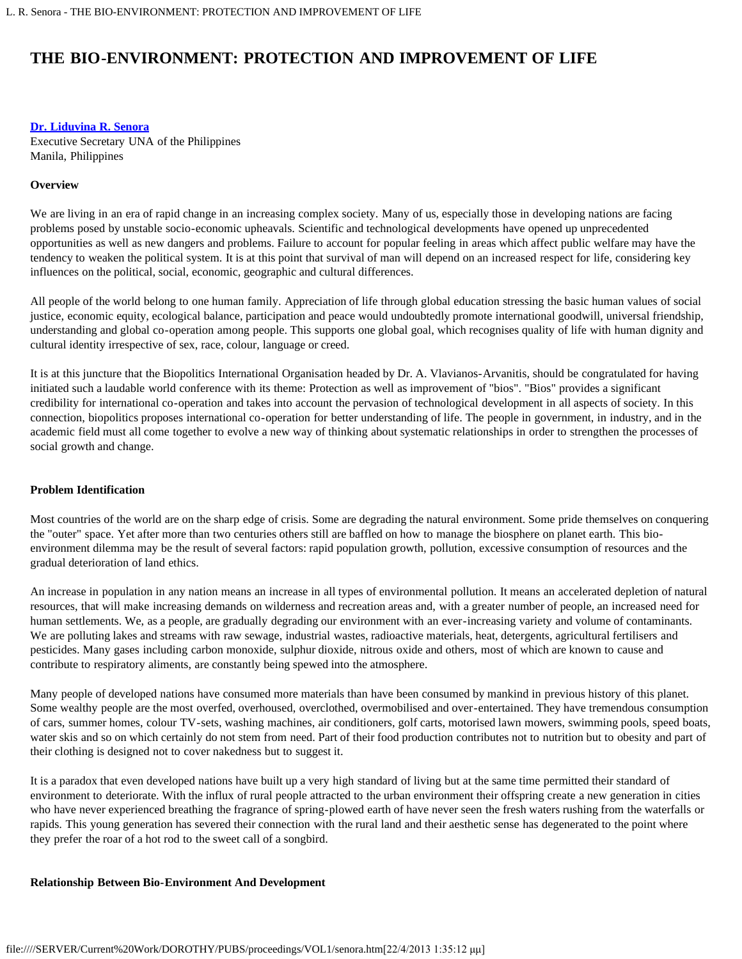# **THE BIO-ENVIRONMENT: PROTECTION AND IMPROVEMENT OF LIFE**

## **[Dr. Liduvina R. Senora](#page-2-0)**

Executive Secretary UNA of the Philippines Manila, Philippines

## **Overview**

We are living in an era of rapid change in an increasing complex society. Many of us, especially those in developing nations are facing problems posed by unstable socio-economic upheavals. Scientific and technological developments have opened up unprecedented opportunities as well as new dangers and problems. Failure to account for popular feeling in areas which affect public welfare may have the tendency to weaken the political system. It is at this point that survival of man will depend on an increased respect for life, considering key influences on the political, social, economic, geographic and cultural differences.

All people of the world belong to one human family. Appreciation of life through global education stressing the basic human values of social justice, economic equity, ecological balance, participation and peace would undoubtedly promote international goodwill, universal friendship, understanding and global co-operation among people. This supports one global goal, which recognises quality of life with human dignity and cultural identity irrespective of sex, race, colour, language or creed.

It is at this juncture that the Biopolitics International Organisation headed by Dr. A. Vlavianos-Arvanitis, should be congratulated for having initiated such a laudable world conference with its theme: Protection as well as improvement of "bios". "Bios" provides a significant credibility for international co-operation and takes into account the pervasion of technological development in all aspects of society. In this connection, biopolitics proposes international co-operation for better understanding of life. The people in government, in industry, and in the academic field must all come together to evolve a new way of thinking about systematic relationships in order to strengthen the processes of social growth and change.

# **Problem Identification**

Most countries of the world are on the sharp edge of crisis. Some are degrading the natural environment. Some pride themselves on conquering the "outer" space. Yet after more than two centuries others still are baffled on how to manage the biosphere on planet earth. This bioenvironment dilemma may be the result of several factors: rapid population growth, pollution, excessive consumption of resources and the gradual deterioration of land ethics.

An increase in population in any nation means an increase in all types of environmental pollution. It means an accelerated depletion of natural resources, that will make increasing demands on wilderness and recreation areas and, with a greater number of people, an increased need for human settlements. We, as a people, are gradually degrading our environment with an ever-increasing variety and volume of contaminants. We are polluting lakes and streams with raw sewage, industrial wastes, radioactive materials, heat, detergents, agricultural fertilisers and pesticides. Many gases including carbon monoxide, sulphur dioxide, nitrous oxide and others, most of which are known to cause and contribute to respiratory aliments, are constantly being spewed into the atmosphere.

Many people of developed nations have consumed more materials than have been consumed by mankind in previous history of this planet. Some wealthy people are the most overfed, overhoused, overclothed, overmobilised and over-entertained. They have tremendous consumption of cars, summer homes, colour TV-sets, washing machines, air conditioners, golf carts, motorised lawn mowers, swimming pools, speed boats, water skis and so on which certainly do not stem from need. Part of their food production contributes not to nutrition but to obesity and part of their clothing is designed not to cover nakedness but to suggest it.

It is a paradox that even developed nations have built up a very high standard of living but at the same time permitted their standard of environment to deteriorate. With the influx of rural people attracted to the urban environment their offspring create a new generation in cities who have never experienced breathing the fragrance of spring-plowed earth of have never seen the fresh waters rushing from the waterfalls or rapids. This young generation has severed their connection with the rural land and their aesthetic sense has degenerated to the point where they prefer the roar of a hot rod to the sweet call of a songbird.

# **Relationship Between Bio-Environment And Development**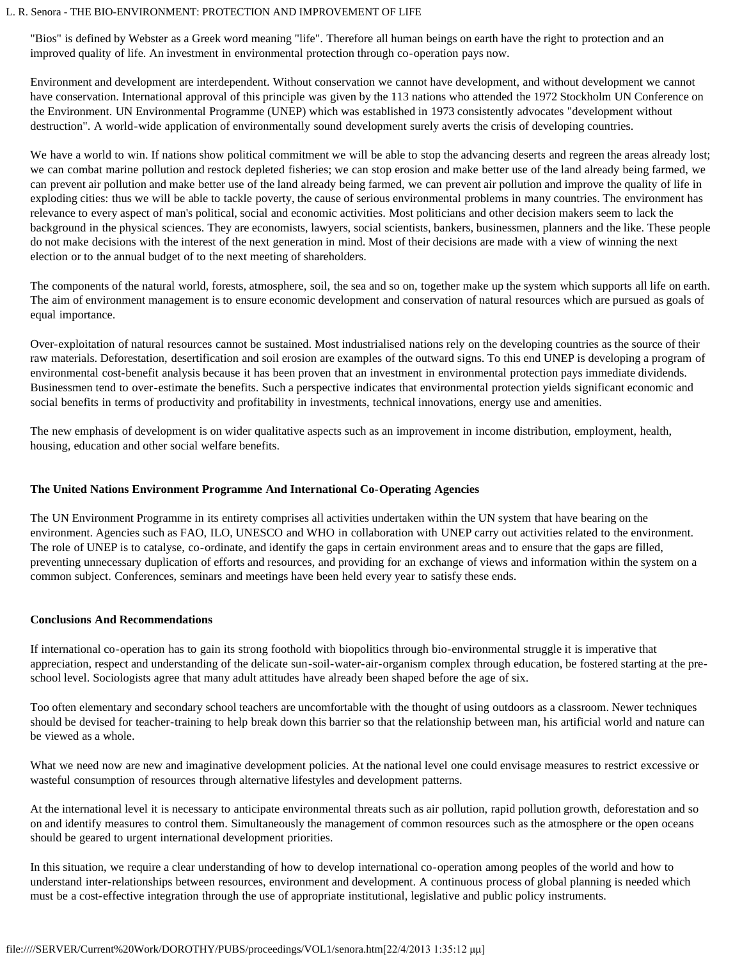#### L. R. Senora - THE BIO-ENVIRONMENT: PROTECTION AND IMPROVEMENT OF LIFE

"Bios" is defined by Webster as a Greek word meaning "life". Therefore all human beings on earth have the right to protection and an improved quality of life. An investment in environmental protection through co-operation pays now.

Environment and development are interdependent. Without conservation we cannot have development, and without development we cannot have conservation. International approval of this principle was given by the 113 nations who attended the 1972 Stockholm UN Conference on the Environment. UN Environmental Programme (UNEP) which was established in 1973 consistently advocates "development without destruction". A world-wide application of environmentally sound development surely averts the crisis of developing countries.

We have a world to win. If nations show political commitment we will be able to stop the advancing deserts and regreen the areas already lost; we can combat marine pollution and restock depleted fisheries; we can stop erosion and make better use of the land already being farmed, we can prevent air pollution and make better use of the land already being farmed, we can prevent air pollution and improve the quality of life in exploding cities: thus we will be able to tackle poverty, the cause of serious environmental problems in many countries. The environment has relevance to every aspect of man's political, social and economic activities. Most politicians and other decision makers seem to lack the background in the physical sciences. They are economists, lawyers, social scientists, bankers, businessmen, planners and the like. These people do not make decisions with the interest of the next generation in mind. Most of their decisions are made with a view of winning the next election or to the annual budget of to the next meeting of shareholders.

The components of the natural world, forests, atmosphere, soil, the sea and so on, together make up the system which supports all life on earth. The aim of environment management is to ensure economic development and conservation of natural resources which are pursued as goals of equal importance.

Over-exploitation of natural resources cannot be sustained. Most industrialised nations rely on the developing countries as the source of their raw materials. Deforestation, desertification and soil erosion are examples of the outward signs. To this end UNEP is developing a program of environmental cost-benefit analysis because it has been proven that an investment in environmental protection pays immediate dividends. Businessmen tend to over-estimate the benefits. Such a perspective indicates that environmental protection yields significant economic and social benefits in terms of productivity and profitability in investments, technical innovations, energy use and amenities.

The new emphasis of development is on wider qualitative aspects such as an improvement in income distribution, employment, health, housing, education and other social welfare benefits.

# **The United Nations Environment Programme And International Co-Operating Agencies**

The UN Environment Programme in its entirety comprises all activities undertaken within the UN system that have bearing on the environment. Agencies such as FAO, ILO, UNESCO and WHO in collaboration with UNEP carry out activities related to the environment. The role of UNEP is to catalyse, co-ordinate, and identify the gaps in certain environment areas and to ensure that the gaps are filled, preventing unnecessary duplication of efforts and resources, and providing for an exchange of views and information within the system on a common subject. Conferences, seminars and meetings have been held every year to satisfy these ends.

# **Conclusions And Recommendations**

If international co-operation has to gain its strong foothold with biopolitics through bio-environmental struggle it is imperative that appreciation, respect and understanding of the delicate sun-soil-water-air-organism complex through education, be fostered starting at the preschool level. Sociologists agree that many adult attitudes have already been shaped before the age of six.

Too often elementary and secondary school teachers are uncomfortable with the thought of using outdoors as a classroom. Newer techniques should be devised for teacher-training to help break down this barrier so that the relationship between man, his artificial world and nature can be viewed as a whole.

What we need now are new and imaginative development policies. At the national level one could envisage measures to restrict excessive or wasteful consumption of resources through alternative lifestyles and development patterns.

At the international level it is necessary to anticipate environmental threats such as air pollution, rapid pollution growth, deforestation and so on and identify measures to control them. Simultaneously the management of common resources such as the atmosphere or the open oceans should be geared to urgent international development priorities.

In this situation, we require a clear understanding of how to develop international co-operation among peoples of the world and how to understand inter-relationships between resources, environment and development. A continuous process of global planning is needed which must be a cost-effective integration through the use of appropriate institutional, legislative and public policy instruments.